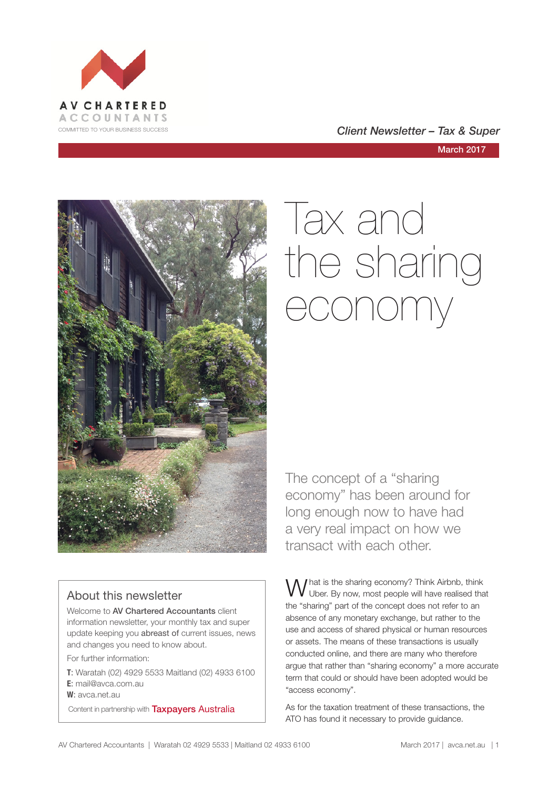

#### COMMITTED TO YOUR BUSINESS SUCCESS **COMMITTED TO YOUR BUSINESS SUCCESS**

March 2017



# Tax and the sharing economy

### About this newsletter

Welcome to **AV Chartered Accountants** client information newsletter, your monthly tax and super update keeping you abreast of current issues, news and changes you need to know about.

For further information:

**T**: Waratah (02) 4929 5533 Maitland (02) 4933 6100 **E**: mail@avca.com.au

**W**: avca.net.au

Content in partnership with **Taxpayers Australia** 

The concept of a "sharing economy" has been around for long enough now to have had a very real impact on how we transact with each other.

What is the sharing economy? Think Airbnb, think<br>W Uber. By now, most people will have realised that the "sharing" part of the concept does not refer to an absence of any monetary exchange, but rather to the use and access of shared physical or human resources or assets. The means of these transactions is usually conducted online, and there are many who therefore argue that rather than "sharing economy" a more accurate term that could or should have been adopted would be "access economy".

As for the taxation treatment of these transactions, the ATO has found it necessary to provide guidance.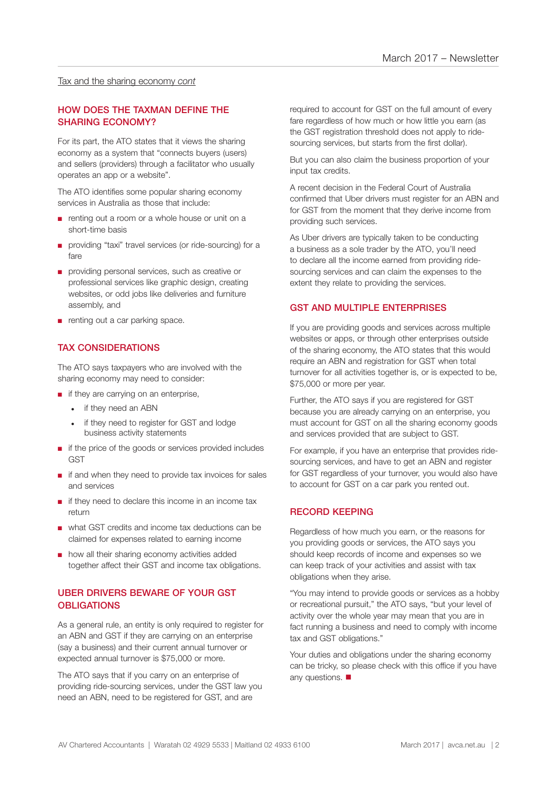#### Tax and the sharing economy *cont*

#### HOW DOES THE TAXMAN DEFINE THE SHARING ECONOMY?

For its part, the ATO states that it views the sharing economy as a system that "connects buyers (users) and sellers (providers) through a facilitator who usually operates an app or a website".

The ATO identifies some popular sharing economy services in Australia as those that include:

- renting out a room or a whole house or unit on a short-time basis
- providing "taxi" travel services (or ride-sourcing) for a fare
- providing personal services, such as creative or professional services like graphic design, creating websites, or odd jobs like deliveries and furniture assembly, and
- renting out a car parking space.

#### TAX CONSIDERATIONS

The ATO says taxpayers who are involved with the sharing economy may need to consider:

- if they are carrying on an enterprise,
	- if they need an ABN
	- if they need to register for GST and lodge business activity statements
- if the price of the goods or services provided includes **GST**
- if and when they need to provide tax invoices for sales and services
- if they need to declare this income in an income tax return
- what GST credits and income tax deductions can be claimed for expenses related to earning income
- how all their sharing economy activities added together affect their GST and income tax obligations.

#### UBER DRIVERS BEWARE OF YOUR GST **OBLIGATIONS**

As a general rule, an entity is only required to register for an ABN and GST if they are carrying on an enterprise (say a business) and their current annual turnover or expected annual turnover is \$75,000 or more.

The ATO says that if you carry on an enterprise of providing ride-sourcing services, under the GST law you need an ABN, need to be registered for GST, and are

required to account for GST on the full amount of every fare regardless of how much or how little you earn (as the GST registration threshold does not apply to ridesourcing services, but starts from the first dollar).

But you can also claim the business proportion of your input tax credits.

A recent decision in the Federal Court of Australia confirmed that Uber drivers must register for an ABN and for GST from the moment that they derive income from providing such services.

As Uber drivers are typically taken to be conducting a business as a sole trader by the ATO, you'll need to declare all the income earned from providing ridesourcing services and can claim the expenses to the extent they relate to providing the services.

#### GST AND MULTIPLE ENTERPRISES

If you are providing goods and services across multiple websites or apps, or through other enterprises outside of the sharing economy, the ATO states that this would require an ABN and registration for GST when total turnover for all activities together is, or is expected to be, \$75,000 or more per year.

Further, the ATO says if you are registered for GST because you are already carrying on an enterprise, you must account for GST on all the sharing economy goods and services provided that are subject to GST.

For example, if you have an enterprise that provides ridesourcing services, and have to get an ABN and register for GST regardless of your turnover, you would also have to account for GST on a car park you rented out.

#### RECORD KEEPING

Regardless of how much you earn, or the reasons for you providing goods or services, the ATO says you should keep records of income and expenses so we can keep track of your activities and assist with tax obligations when they arise.

"You may intend to provide goods or services as a hobby or recreational pursuit," the ATO says, "but your level of activity over the whole year may mean that you are in fact running a business and need to comply with income tax and GST obligations."

Your duties and obligations under the sharing economy can be tricky, so please check with this office if you have any questions.  $\blacksquare$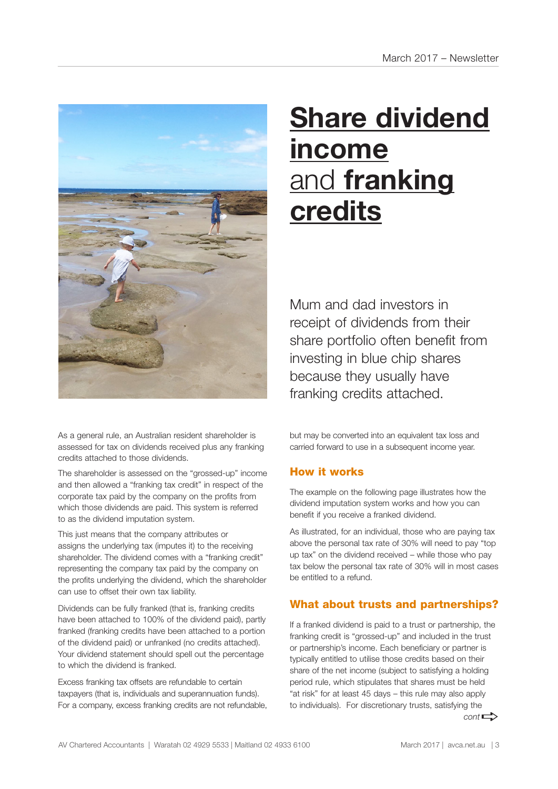

As a general rule, an Australian resident shareholder is assessed for tax on dividends received plus any franking credits attached to those dividends.

The shareholder is assessed on the "grossed-up" income and then allowed a "franking tax credit" in respect of the corporate tax paid by the company on the profits from which those dividends are paid. This system is referred to as the dividend imputation system.

This just means that the company attributes or assigns the underlying tax (imputes it) to the receiving shareholder. The dividend comes with a "franking credit" representing the company tax paid by the company on the profits underlying the dividend, which the shareholder can use to offset their own tax liability.

Dividends can be fully franked (that is, franking credits have been attached to 100% of the dividend paid), partly franked (franking credits have been attached to a portion of the dividend paid) or unfranked (no credits attached). Your dividend statement should spell out the percentage to which the dividend is franked.

Excess franking tax offsets are refundable to certain taxpayers (that is, individuals and superannuation funds). For a company, excess franking credits are not refundable,

# **Share dividend income** and **franking credits**

Mum and dad investors in receipt of dividends from their share portfolio often benefit from investing in blue chip shares because they usually have franking credits attached.

but may be converted into an equivalent tax loss and carried forward to use in a subsequent income year.

#### How it works

The example on the following page illustrates how the dividend imputation system works and how you can benefit if you receive a franked dividend.

As illustrated, for an individual, those who are paying tax above the personal tax rate of 30% will need to pay "top up tax" on the dividend received – while those who pay tax below the personal tax rate of 30% will in most cases be entitled to a refund.

#### What about trusts and partnerships?

If a franked dividend is paid to a trust or partnership, the franking credit is "grossed-up" and included in the trust or partnership's income. Each beneficiary or partner is typically entitled to utilise those credits based on their share of the net income (subject to satisfying a holding period rule, which stipulates that shares must be held "at risk" for at least 45 days – this rule may also apply to individuals). For discretionary trusts, satisfying the  $cont \rightarrow$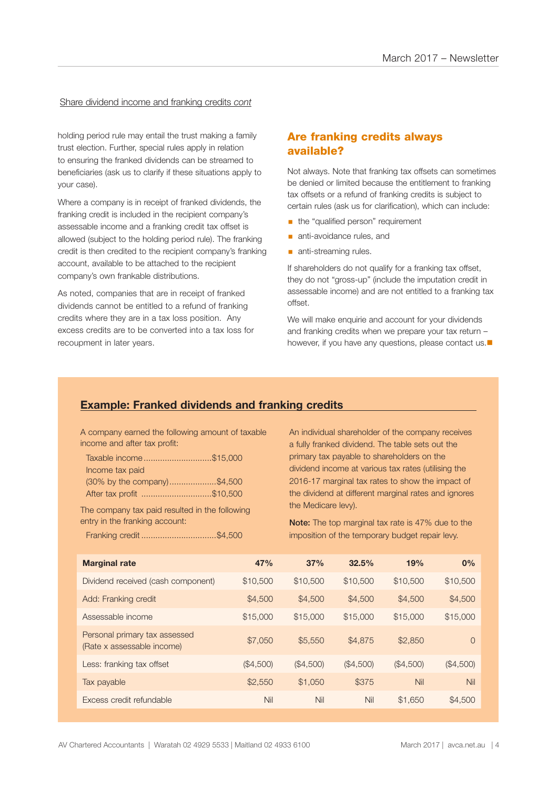#### Share dividend income and franking credits *cont*

holding period rule may entail the trust making a family trust election. Further, special rules apply in relation to ensuring the franked dividends can be streamed to beneficiaries (ask us to clarify if these situations apply to your case).

Where a company is in receipt of franked dividends, the franking credit is included in the recipient company's assessable income and a franking credit tax offset is allowed (subject to the holding period rule). The franking credit is then credited to the recipient company's franking account, available to be attached to the recipient company's own frankable distributions.

As noted, companies that are in receipt of franked dividends cannot be entitled to a refund of franking credits where they are in a tax loss position. Any excess credits are to be converted into a tax loss for recoupment in later years.

#### Are franking credits always available?

Not always. Note that franking tax offsets can sometimes be denied or limited because the entitlement to franking tax offsets or a refund of franking credits is subject to certain rules (ask us for clarification), which can include:

- the "qualified person" requirement
- **anti-avoidance rules, and**
- **anti-streaming rules.**

If shareholders do not qualify for a franking tax offset, they do not "gross-up" (include the imputation credit in assessable income) and are not entitled to a franking tax offset.

We will make enquirie and account for your dividends and franking credits when we prepare your tax return – however, if you have any questions, please contact us. $\blacksquare$ 

#### **Example: Franked dividends and franking credits**

A company earned the following amount of taxable income and after tax profit:

| Taxable income\$15,000      |  |
|-----------------------------|--|
| Income tax paid             |  |
| (30% by the company)\$4,500 |  |
| After tax profit \$10,500   |  |

The company tax paid resulted in the following entry in the franking account:

Franking credit ................................\$4,500

An individual shareholder of the company receives a fully franked dividend. The table sets out the primary tax payable to shareholders on the dividend income at various tax rates (utilising the 2016-17 marginal tax rates to show the impact of the dividend at different marginal rates and ignores the Medicare levy).

Note: The top marginal tax rate is 47% due to the imposition of the temporary budget repair levy.

| <b>Marginal rate</b>                                        | 47%       | 37%       | 32.5%     | 19%       | 0%        |
|-------------------------------------------------------------|-----------|-----------|-----------|-----------|-----------|
| Dividend received (cash component)                          | \$10,500  | \$10,500  | \$10,500  | \$10,500  | \$10,500  |
| Add: Franking credit                                        | \$4,500   | \$4,500   | \$4,500   | \$4,500   | \$4,500   |
| Assessable income                                           | \$15,000  | \$15,000  | \$15,000  | \$15,000  | \$15,000  |
| Personal primary tax assessed<br>(Rate x assessable income) | \$7,050   | \$5,550   | \$4,875   | \$2,850   | $\Omega$  |
| Less: franking tax offset                                   | (\$4,500) | (\$4,500) | (\$4,500) | (\$4,500) | (\$4,500) |
| Tax payable                                                 | \$2,550   | \$1,050   | \$375     | Nil       | Nil       |
| Excess credit refundable                                    | Nil       | Nil       | Nil       | \$1,650   | \$4,500   |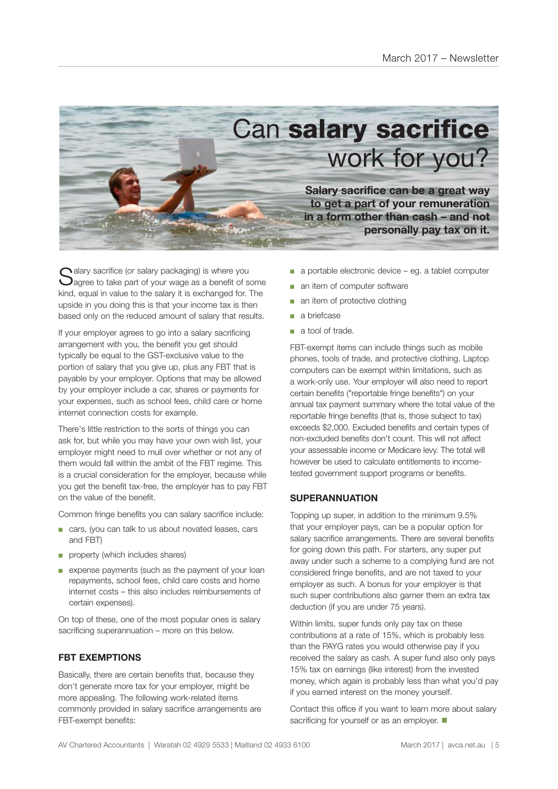

 $\bigcap$  alary sacrifice (or salary packaging) is where you  $\bigcup$ agree to take part of your wage as a benefit of some kind, equal in value to the salary it is exchanged for. The upside in you doing this is that your income tax is then based only on the reduced amount of salary that results.

If your employer agrees to go into a salary sacrificing arrangement with you, the benefit you get should typically be equal to the GST-exclusive value to the portion of salary that you give up, plus any FBT that is payable by your employer. Options that may be allowed by your employer include a car, shares or payments for your expenses, such as school fees, child care or home internet connection costs for example.

There's little restriction to the sorts of things you can ask for, but while you may have your own wish list, your employer might need to mull over whether or not any of them would fall within the ambit of the FBT regime. This is a crucial consideration for the employer, because while you get the benefit tax-free, the employer has to pay FBT on the value of the benefit.

Common fringe benefits you can salary sacrifice include:

- cars, (you can talk to us about novated leases, cars and FBT)
- property (which includes shares)
- expense payments (such as the payment of your loan repayments, school fees, child care costs and home internet costs – this also includes reimbursements of certain expenses).

On top of these, one of the most popular ones is salary sacrificing superannuation – more on this below.

#### **FBT EXEMPTIONS**

Basically, there are certain benefits that, because they don't generate more tax for your employer, might be more appealing. The following work-related items commonly provided in salary sacrifice arrangements are FBT-exempt benefits:

- a portable electronic device eg. a tablet computer
- an item of computer software
- an item of protective clothing
- a briefcase
- a tool of trade.

FBT-exempt items can include things such as mobile phones, tools of trade, and protective clothing. Laptop computers can be exempt within limitations, such as a work-only use. Your employer will also need to report certain benefits ("reportable fringe benefits") on your annual tax payment summary where the total value of the reportable fringe benefits (that is, those subject to tax) exceeds \$2,000. Excluded benefits and certain types of non-excluded benefits don't count. This will not affect your assessable income or Medicare levy. The total will however be used to calculate entitlements to incometested government support programs or benefits.

#### **SUPERANNUATION**

Topping up super, in addition to the minimum 9.5% that your employer pays, can be a popular option for salary sacrifice arrangements. There are several benefits for going down this path. For starters, any super put away under such a scheme to a complying fund are not considered fringe benefits, and are not taxed to your employer as such. A bonus for your employer is that such super contributions also garner them an extra tax deduction (if you are under 75 years).

Within limits, super funds only pay tax on these contributions at a rate of 15%, which is probably less than the PAYG rates you would otherwise pay if you received the salary as cash. A super fund also only pays 15% tax on earnings (like interest) from the invested money, which again is probably less than what you'd pay if you earned interest on the money yourself.

Contact this office if you want to learn more about salary sacrificing for yourself or as an employer.  $\blacksquare$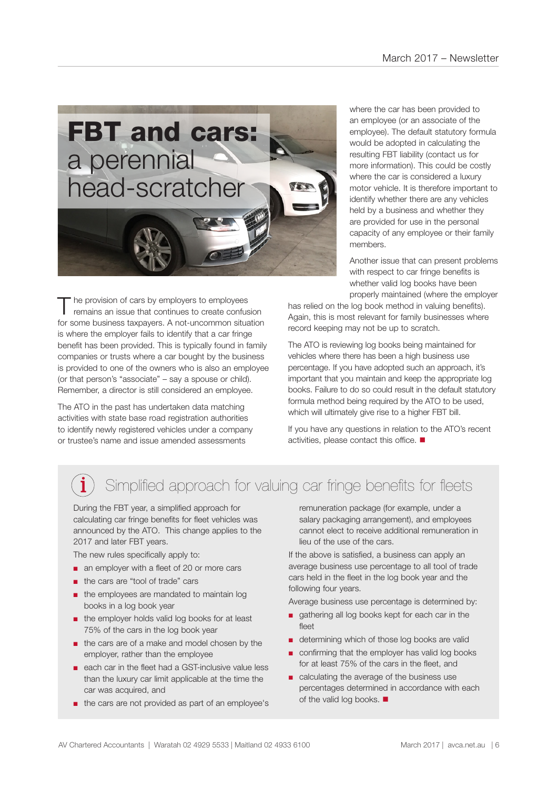

The provision of cars by employers to employees<br>
remains an issue that continues to create confusion for some business taxpayers. A not-uncommon situation is where the employer fails to identify that a car fringe benefit has been provided. This is typically found in family companies or trusts where a car bought by the business is provided to one of the owners who is also an employee (or that person's "associate" – say a spouse or child). Remember, a director is still considered an employee.

The ATO in the past has undertaken data matching activities with state base road registration authorities to identify newly registered vehicles under a company or trustee's name and issue amended assessments

where the car has been provided to an employee (or an associate of the employee). The default statutory formula would be adopted in calculating the resulting FBT liability (contact us for more information). This could be costly where the car is considered a luxury motor vehicle. It is therefore important to identify whether there are any vehicles held by a business and whether they are provided for use in the personal capacity of any employee or their family members.

Another issue that can present problems with respect to car fringe benefits is whether valid log books have been properly maintained (where the employer

has relied on the log book method in valuing benefits). Again, this is most relevant for family businesses where record keeping may not be up to scratch.

The ATO is reviewing log books being maintained for vehicles where there has been a high business use percentage. If you have adopted such an approach, it's important that you maintain and keep the appropriate log books. Failure to do so could result in the default statutory formula method being required by the ATO to be used, which will ultimately give rise to a higher FBT bill.

If you have any questions in relation to the ATO's recent activities, please contact this office.  $\blacksquare$ 

### Simplified approach for valuing car fringe benefits for fleets

During the FBT year, a simplified approach for calculating car fringe benefits for fleet vehicles was announced by the ATO. This change applies to the 2017 and later FBT years.

The new rules specifically apply to:

- an employer with a fleet of 20 or more cars
- the cars are "tool of trade" cars
- the employees are mandated to maintain log books in a log book year
- the employer holds valid log books for at least 75% of the cars in the log book year
- the cars are of a make and model chosen by the employer, rather than the employee
- each car in the fleet had a GST-inclusive value less than the luxury car limit applicable at the time the car was acquired, and
- the cars are not provided as part of an employee's

remuneration package (for example, under a salary packaging arrangement), and employees cannot elect to receive additional remuneration in lieu of the use of the cars.

If the above is satisfied, a business can apply an average business use percentage to all tool of trade cars held in the fleet in the log book year and the following four years.

Average business use percentage is determined by:

- gathering all log books kept for each car in the fleet
- determining which of those log books are valid
- confirming that the employer has valid log books for at least 75% of the cars in the fleet, and
- calculating the average of the business use percentages determined in accordance with each of the valid log books.  $\blacksquare$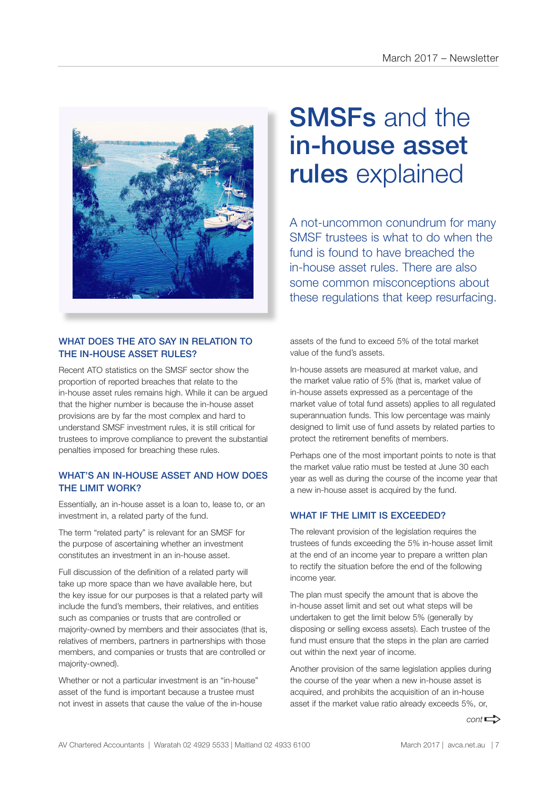

#### WHAT DOES THE ATO SAY IN RELATION TO THE IN-HOUSE ASSET RULES?

Recent ATO statistics on the SMSF sector show the proportion of reported breaches that relate to the in-house asset rules remains high. While it can be argued that the higher number is because the in-house asset provisions are by far the most complex and hard to understand SMSF investment rules, it is still critical for trustees to improve compliance to prevent the substantial penalties imposed for breaching these rules.

#### WHAT'S AN IN-HOUSE ASSET AND HOW DOES THE LIMIT WORK?

Essentially, an in-house asset is a loan to, lease to, or an investment in, a related party of the fund.

The term "related party" is relevant for an SMSF for the purpose of ascertaining whether an investment constitutes an investment in an in-house asset.

Full discussion of the definition of a related party will take up more space than we have available here, but the key issue for our purposes is that a related party will include the fund's members, their relatives, and entities such as companies or trusts that are controlled or majority-owned by members and their associates (that is, relatives of members, partners in partnerships with those members, and companies or trusts that are controlled or majority-owned).

Whether or not a particular investment is an "in-house" asset of the fund is important because a trustee must not invest in assets that cause the value of the in-house

## SMSFs and the in-house asset rules explained

A not-uncommon conundrum for many SMSF trustees is what to do when the fund is found to have breached the in-house asset rules. There are also some common misconceptions about these regulations that keep resurfacing.

assets of the fund to exceed 5% of the total market value of the fund's assets.

In-house assets are measured at market value, and the market value ratio of 5% (that is, market value of in-house assets expressed as a percentage of the market value of total fund assets) applies to all regulated superannuation funds. This low percentage was mainly designed to limit use of fund assets by related parties to protect the retirement benefits of members.

Perhaps one of the most important points to note is that the market value ratio must be tested at June 30 each year as well as during the course of the income year that a new in-house asset is acquired by the fund.

#### WHAT IF THE LIMIT IS EXCEEDED?

The relevant provision of the legislation requires the trustees of funds exceeding the 5% in-house asset limit at the end of an income year to prepare a written plan to rectify the situation before the end of the following income year.

The plan must specify the amount that is above the in-house asset limit and set out what steps will be undertaken to get the limit below 5% (generally by disposing or selling excess assets). Each trustee of the fund must ensure that the steps in the plan are carried out within the next year of income.

Another provision of the same legislation applies during the course of the year when a new in-house asset is acquired, and prohibits the acquisition of an in-house asset if the market value ratio already exceeds 5%, or,

 $cont \rightarrow$